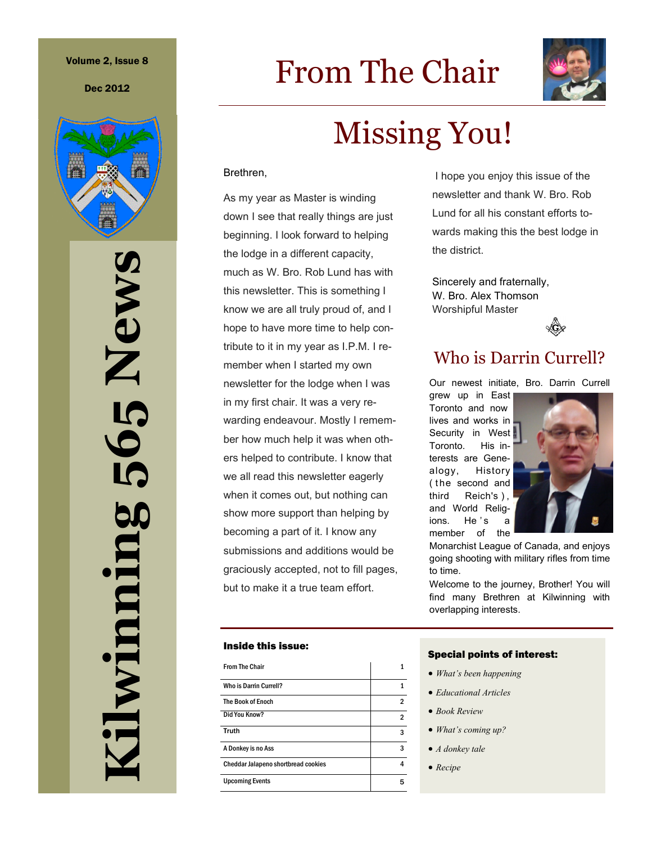#### Volume 2, Issue 8

Dec 2012



**Kilwinning 565 News** 5 News 50 ilwinning

# From The Chair



# Missing You!

#### Brethren,

As my year as Master is winding down I see that really things are just beginning. I look forward to helping the lodge in a different capacity, much as W. Bro. Rob Lund has with this newsletter. This is something I know we are all truly proud of, and I hope to have more time to help contribute to it in my year as I.P.M. I remember when I started my own newsletter for the lodge when I was in my first chair. It was a very rewarding endeavour. Mostly I remember how much help it was when others helped to contribute. I know that we all read this newsletter eagerly when it comes out, but nothing can show more support than helping by becoming a part of it. I know any submissions and additions would be graciously accepted, not to fill pages, but to make it a true team effort.

#### Inside this issue:

| <b>From The Chair</b>               |   |
|-------------------------------------|---|
| Who is Darrin Currell?              |   |
| <b>The Book of Enoch</b>            | 2 |
| Did You Know?                       | 2 |
| Truth                               | 3 |
| A Donkey is no Ass                  | 3 |
| Cheddar Jalapeno shortbread cookies | 4 |
| <b>Upcoming Events</b>              | 5 |

I hope you enjoy this issue of the newsletter and thank W. Bro. Rob Lund for all his constant efforts towards making this the best lodge in the district.

Sincerely and fraternally, W. Bro. Alex Thomson Worshipful Master



# Who is Darrin Currell?

Our newest initiate, Bro. Darrin Currell

grew up in East Toronto and now lives and works in Security in West Toronto. His interests are Genealogy, History (the second and third Reich's ) , and World Religions. He's a member of the



Monarchist League of Canada, and enjoys going shooting with military rifles from time to time.

Welcome to the journey, Brother! You will find many Brethren at Kilwinning with overlapping interests.

#### Special points of interest:

- *What's been happening*
- *Educational Articles*
- *Book Review*
- *What's coming up?*
- *A donkey tale*
- *Recipe*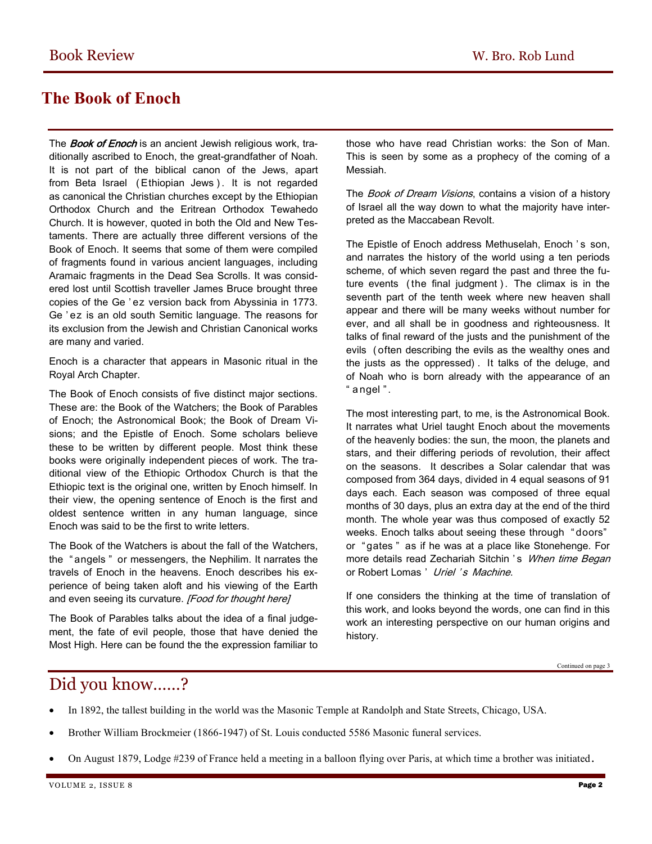# **The Book of Enoch**

The **Book of Enoch** is an ancient [Jewish](http://en.wikipedia.org/wiki/Jewish) religious work, traditionally ascribed to Enoch, the great-grandfather of Noah. It is not part of the biblical canon of the Jews, apart from [Beta Israel \(](http://en.wikipedia.org/wiki/Beta_Israel)Ethiopian Jews). It is not regarded as [canonical t](http://en.wikipedia.org/wiki/Christian_biblical_canons)he Christian churches except by the Ethiopian [Orthodox Church](http://en.wikipedia.org/wiki/Ethiopian_Orthodox_Church) and the [Eritrean Orthodox Tewahedo](http://en.wikipedia.org/wiki/Eritrean_Orthodox_Tewahedo_Church)  [Church.](http://en.wikipedia.org/wiki/Eritrean_Orthodox_Tewahedo_Church) It is however, quoted in both the Old and New Testaments. There are actually three different versions of the Book of Enoch. It seems that some of them were compiled of fragments found in various ancient languages, including Aramaic fragments in the Dead Sea Scrolls. It was considered lost until Scottish traveller James Bruce brought three copies of the Ge ' ez version back from Abyssinia in 1773. Ge ' ez is an old south Semitic language. The reasons for its exclusion from the Jewish and Christian Canonical works are many and varied.

Enoch is a character that appears in Masonic ritual in the Royal Arch Chapter.

The Book of Enoch consists of five distinct major sections. These are: the Book of the Watchers; the Book of Parables of Enoch; the Astronomical Book; the Book of Dream Visions; and the Epistle of Enoch. Some scholars believe these to be written by different people. Most think these books were originally independent pieces of work. The traditional view of the Ethiopic Orthodox Church is that the Ethiopic text is the original one, written by Enoch himself. In their view, the opening sentence of Enoch is the first and oldest sentence written in any human language, since Enoch was said to be the first to write letters.

The Book of the Watchers is about the fall of the Watchers, the " [angels "](http://en.wikipedia.org/wiki/Angel) or messengers, the Nephilim. It narrates the travels of Enoch in the heavens. Enoch describes his experience of being taken aloft and his viewing of the Earth and even seeing its curvature. [Food for thought here]

The Book of Parables talks about the idea of a final judgement, the fate of evil people, those that have denied the Most High. Here can be found the the expression familiar to

those who have read Christian works: the Son of Man. This is seen by some as a prophecy of the coming of a Messiah.

The Book of Dream Visions, contains a [vision](http://en.wikipedia.org/wiki/Vision_(spirituality)) of a history of Israel all the way down to what the majority have interpreted as the [Maccabean Revolt.](http://en.wikipedia.org/wiki/Maccabean_Revolt) 

The Epistle of Enoch address Methuselah, Enoch 's son, and narrates the history of the world using a ten periods scheme, of which seven regard the past and three the future events (the final judgment). The climax is in the seventh part of the tenth week where new heaven shall appear and there will be many weeks without number for ever, and all shall be in goodness and righteousness. It talks of final reward of the justs and the punishment of the evils ( often describing the evils as the wealthy ones and the justs as the oppressed) . It talks of the deluge, and of [Noah](http://en.wikipedia.org/wiki/Noah) who is born already with the appearance of an " a ngel " .

The most interesting part, to me, is the Astronomical Book. It narrates what Uriel taught Enoch about the movements of the heavenly bodies: the sun, the moon, the planets and stars, and their differing periods of revolution, their affect on the seasons. It describes a [Solar calendar](http://en.wikipedia.org/wiki/Solar_calendar) that was composed from 364 days, divided in 4 equal [seasons](http://en.wikipedia.org/wiki/Season) of 91 days each. Each season was composed of three equal months of 30 days, plus an extra day at the end of the third month. The whole year was thus composed of exactly 52 weeks. Enoch talks about seeing these through " doors" or " gates " as if he was at a place like Stonehenge. For more details read Zechariah Sitchin 's When time Began or Robert Lomas ' Uriel 's Machine.

If one considers the thinking at the time of translation of this work, and looks beyond the words, one can find in this work an interesting perspective on our human origins and history.

# Did you know……?

- In 1892, the tallest building in the world was the Masonic Temple at Randolph and State Streets, Chicago, USA.
- Brother William Brockmeier (1866-1947) of St. Louis conducted 5586 Masonic funeral services.
- On August 1879, Lodge #239 of France held a meeting in a balloon flying over Paris, at which time a brother was initiated.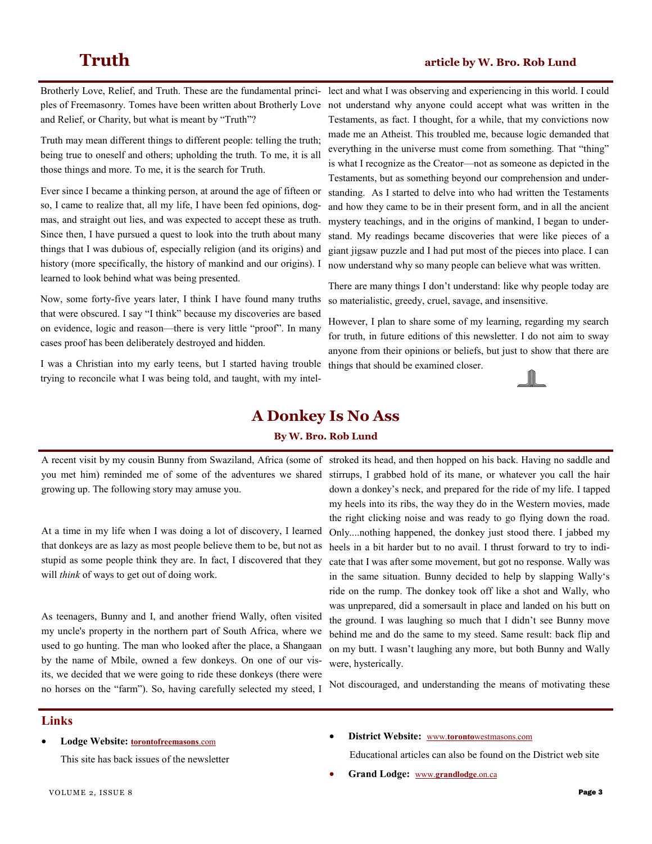and Relief, or Charity, but what is meant by "Truth"?

Truth may mean different things to different people: telling the truth; being true to oneself and others; upholding the truth. To me, it is all those things and more. To me, it is the search for Truth.

Ever since I became a thinking person, at around the age of fifteen or so, I came to realize that, all my life, I have been fed opinions, dogmas, and straight out lies, and was expected to accept these as truth. Since then, I have pursued a quest to look into the truth about many things that I was dubious of, especially religion (and its origins) and history (more specifically, the history of mankind and our origins). I learned to look behind what was being presented.

Now, some forty-five years later, I think I have found many truths that were obscured. I say "I think" because my discoveries are based on evidence, logic and reason—there is very little "proof". In many cases proof has been deliberately destroyed and hidden.

I was a Christian into my early teens, but I started having trouble trying to reconcile what I was being told, and taught, with my intel-

Brotherly Love, Relief, and Truth. These are the fundamental princi-lect and what I was observing and experiencing in this world. I could ples of Freemasonry. Tomes have been written about Brotherly Love not understand why anyone could accept what was written in the Testaments, as fact. I thought, for a while, that my convictions now made me an Atheist. This troubled me, because logic demanded that everything in the universe must come from something. That "thing" is what I recognize as the Creator—not as someone as depicted in the Testaments, but as something beyond our comprehension and understanding. As I started to delve into who had written the Testaments and how they came to be in their present form, and in all the ancient mystery teachings, and in the origins of mankind, I began to understand. My readings became discoveries that were like pieces of a giant jigsaw puzzle and I had put most of the pieces into place. I can now understand why so many people can believe what was written.

> There are many things I don't understand: like why people today are so materialistic, greedy, cruel, savage, and insensitive.

> However, I plan to share some of my learning, regarding my search for truth, in future editions of this newsletter. I do not aim to sway anyone from their opinions or beliefs, but just to show that there are things that should be examined closer.



### **A Donkey Is No Ass**

#### **By W. Bro. Rob Lund**

A recent visit by my cousin Bunny from Swaziland, Africa (some of stroked its head, and then hopped on his back. Having no saddle and you met him) reminded me of some of the adventures we shared growing up. The following story may amuse you.

At a time in my life when I was doing a lot of discovery, I learned that donkeys are as lazy as most people believe them to be, but not as stupid as some people think they are. In fact, I discovered that they will *think* of ways to get out of doing work.

As teenagers, Bunny and I, and another friend Wally, often visited my uncle's property in the northern part of South Africa, where we used to go hunting. The man who looked after the place, a Shangaan by the name of Mbile, owned a few donkeys. On one of our visits, we decided that we were going to ride these donkeys (there were no horses on the "farm"). So, having carefully selected my steed, I

stirrups, I grabbed hold of its mane, or whatever you call the hair down a donkey's neck, and prepared for the ride of my life. I tapped my heels into its ribs, the way they do in the Western movies, made the right clicking noise and was ready to go flying down the road. Only....nothing happened, the donkey just stood there. I jabbed my heels in a bit harder but to no avail. I thrust forward to try to indicate that I was after some movement, but got no response. Wally was in the same situation. Bunny decided to help by slapping Wally's ride on the rump. The donkey took off like a shot and Wally, who was unprepared, did a somersault in place and landed on his butt on the ground. I was laughing so much that I didn't see Bunny move behind me and do the same to my steed. Same result: back flip and on my butt. I wasn't laughing any more, but both Bunny and Wally were, hysterically.

Not discouraged, and understanding the means of motivating these

### **Links**

**Lodge Website: [torontofreemasons](http://torontofreemasons.com)**.com

This site has back issues of the newsletter

#### **District Website:** www.**toronto**[westmasons.com](http://www.torontowestmasons.com)

Educational articles can also be found on the District web site

**Grand Lodge:** www.**[grandlodge](http://www.grandlodge.on.ca)**.on.ca